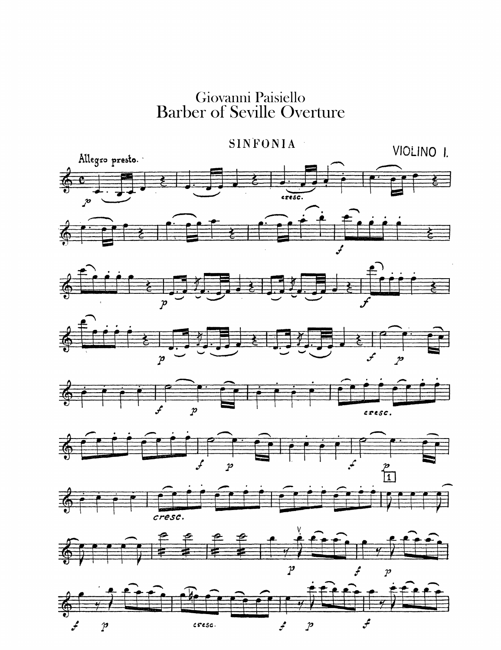Giovanni Paisiello<br>Barber of Seville Overture

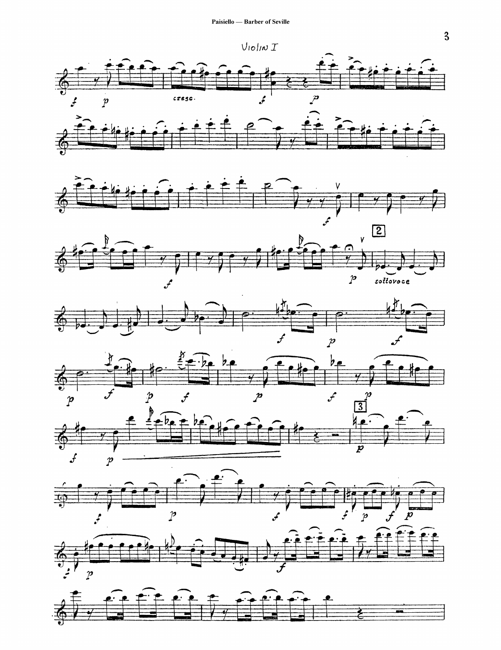

















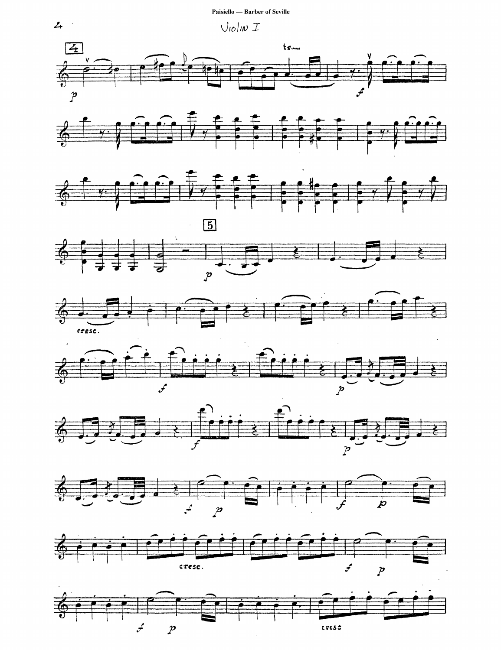Paisiello - Barber of Seville





















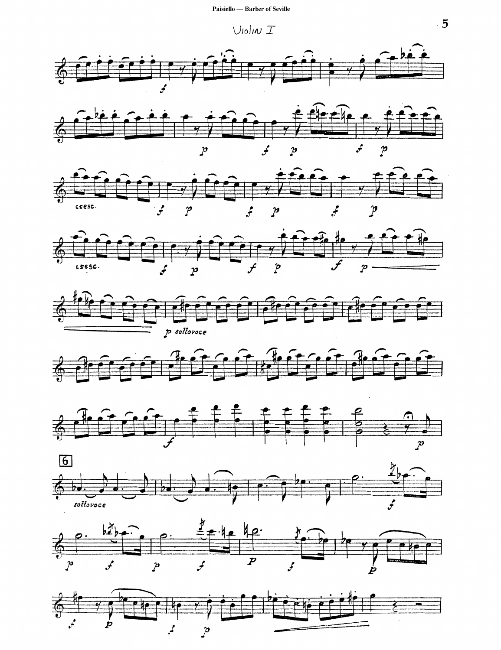$U$ lolin  $T$